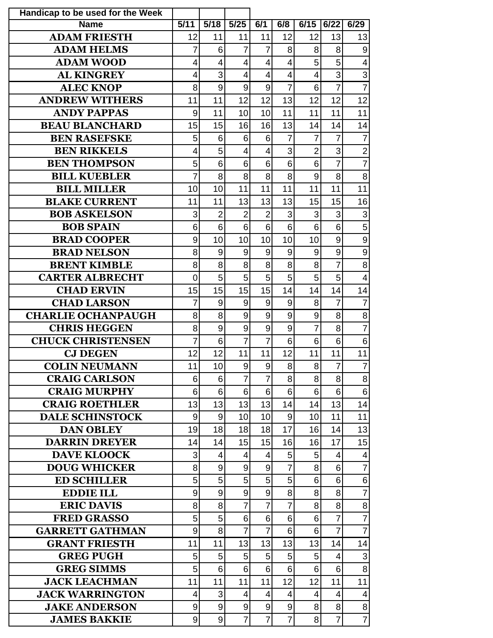| Handicap to be used for the Week          |                |                |                          |                         |                     |                |                |                                  |
|-------------------------------------------|----------------|----------------|--------------------------|-------------------------|---------------------|----------------|----------------|----------------------------------|
| <b>Name</b>                               | 5/11           | 5/18           | 5/25                     | 6/1                     | 6/8                 | 6/15           | 6/22           | 6/29                             |
| <b>ADAM FRIESTH</b>                       | 12             | 11             | 11                       | 11                      | 12                  | 12             | 13             | 13                               |
| <b>ADAM HELMS</b>                         | 7              | 6              | $\overline{7}$           | $\overline{7}$          | 8                   | 8              | 8              | 9                                |
| <b>ADAM WOOD</b>                          | 4              | $\overline{4}$ | $\overline{4}$           | 4                       | $\overline{4}$      | 5              | 5              | $\overline{4}$                   |
| <b>AL KINGREY</b>                         | 4              | 3              | $\overline{\mathcal{A}}$ | $\overline{\mathbf{4}}$ | $\overline{4}$      | $\overline{4}$ | 3              | 3                                |
| <b>ALEC KNOP</b>                          | 8              | 9              | 9                        | 9                       | $\overline{7}$      | 6              | $\overline{7}$ | $\overline{7}$                   |
| <b>ANDREW WITHERS</b>                     | 11             | 11             | 12                       | 12                      | 13                  | 12             | 12             | 12                               |
| <b>ANDY PAPPAS</b>                        | 9              | 11             | 10                       | 10                      | 11                  | 11             | 11             | 11                               |
| <b>BEAU BLANCHARD</b>                     | 15             | 15             | 16                       | 16                      | 13                  | 14             | 14             | 14                               |
| <b>BEN RASEFSKE</b>                       | 5              | 6              | 6                        | 6                       | $\overline{7}$      | 7              | 7              | $\overline{7}$                   |
| <b>BEN RIKKELS</b>                        | 4              | 5              | $\overline{4}$           | $\overline{4}$          | 3                   | $\overline{2}$ | 3              | $\overline{2}$                   |
| <b>BEN THOMPSON</b>                       | 5              | 6              | 6                        | 6                       | 6                   | 6              | $\overline{7}$ | $\overline{7}$                   |
| <b>BILL KUEBLER</b>                       | $\overline{7}$ | 8              | 8                        | 8                       | 8                   | 9              | 8              | 8                                |
| <b>BILL MILLER</b>                        | 10             | 10             | 11                       | 11                      | 11                  | 11             | 11             | 11                               |
| <b>BLAKE CURRENT</b>                      | 11             | 11             | 13                       | 13                      | 13                  | 15             | 15             | 16                               |
| <b>BOB ASKELSON</b>                       | 3              | $\overline{2}$ | $\overline{2}$           | $\overline{2}$          | 3                   | 3              | 3              | 3                                |
| <b>BOB SPAIN</b>                          | 6              | $6\phantom{1}$ | 6                        | 6                       | 6                   | 6              | 6              | 5                                |
| <b>BRAD COOPER</b>                        | 9              | 10             | 10                       | 10                      | 10                  | 10             | 9              | 9                                |
| <b>BRAD NELSON</b>                        | 8              | 9              | 9                        | 9                       | 9                   | 9              | 9              | 9                                |
| <b>BRENT KIMBLE</b>                       | 8              | 8              | 8                        | 8                       | 8                   | 8              | $\overline{7}$ | 8                                |
| <b>CARTER ALBRECHT</b>                    | 0              | 5              | 5                        | 5                       | 5                   | 5              | 5              | $\overline{4}$                   |
| <b>CHAD ERVIN</b>                         | 15             | 15             | 15                       | 15                      | 14                  | 14             | 14             | 14                               |
| <b>CHAD LARSON</b>                        | 7              | 9              | 9                        | 9                       | 9                   | 8              | $\overline{7}$ | $\overline{7}$                   |
| <b>CHARLIE OCHANPAUGH</b>                 | 8              | 8              | 9                        | 9                       | 9                   | 9              | 8              | 8                                |
| <b>CHRIS HEGGEN</b>                       | 8              | $\mathsf 9$    | 9                        | 9                       | 9                   | 7              | 8              | $\overline{7}$                   |
| <b>CHUCK CHRISTENSEN</b>                  | 7              | 6              | $\overline{7}$           | $\overline{7}$          | 6                   | 6              | 6              | 6                                |
| <b>CJ DEGEN</b>                           | 12             | 12             | 11                       | 11                      | 12                  | 11             | 11             | 11                               |
| <b>COLIN NEUMANN</b>                      | 11             | 10             | $\mathsf{Q}$             | $\mathfrak{g}$          | 8 <sup>1</sup>      | 8 <sup>1</sup> | 7              | $\overline{7}$                   |
| <b>CRAIG CARLSON</b>                      | 6              | 6              | $\overline{7}$           | $\overline{7}$          | 8                   | 8              | 8              | 8                                |
| <b>CRAIG MURPHY</b>                       | 6              | 6              | 6                        | 6                       | 6                   | 6              | 6              | $6\phantom{1}6$                  |
| <b>CRAIG ROETHLER</b>                     | 13             | 13             | 13                       | 13                      | 14                  | 14             | 13             | 14                               |
| <b>DALE SCHINSTOCK</b>                    | 9              | 9              | 10                       | 10                      | 9                   | 10             | 11             | 11                               |
| <b>DAN OBLEY</b>                          | 19             | 18             | 18                       | 18                      | 17                  | 16             | 14             | 13                               |
| <b>DARRIN DREYER</b>                      | 14             | 14             | 15                       | 15<br>$\overline{4}$    | 16                  | 16<br>5        | 17             | 15                               |
| <b>DAVE KLOOCK</b><br><b>DOUG WHICKER</b> | 3<br>8         | 4<br>9         | 4<br>9                   | 9                       | 5<br>$\overline{7}$ | 8              | 4<br>6         | $\overline{4}$<br>$\overline{7}$ |
| <b>ED SCHILLER</b>                        | 5              | 5              | 5                        | 5                       | 5                   | 6              | 6              | $\,6$                            |
| <b>EDDIE ILL</b>                          | $\mathsf 9$    | $\mathsf 9$    | 9                        | $9\,$                   | 8                   | 8              | 8              | $\overline{7}$                   |
| <b>ERIC DAVIS</b>                         | 8              | 8              | $\overline{7}$           | $\overline{7}$          | $\overline{7}$      | 8              | 8              | 8                                |
| <b>FRED GRASSO</b>                        | 5              | 5              | 6                        | 6                       | 6                   | 6              | $\overline{7}$ | $\overline{7}$                   |
| <b>GARRETT GATHMAN</b>                    | 9              | 8              | $\overline{7}$           | $\overline{7}$          | 6                   | 6              | $\overline{7}$ | $\overline{7}$                   |
| <b>GRANT FRIESTH</b>                      | 11             | 11             | 13                       | 13                      | 13                  | 13             | 14             | 14                               |
| <b>GREG PUGH</b>                          | 5              | 5              | 5                        | 5                       | 5                   | 5              | 4              | 3                                |
| <b>GREG SIMMS</b>                         | 5              | 6              | 6                        | 6                       | 6                   | 6              | 6              | 8                                |
| <b>JACK LEACHMAN</b>                      | 11             | 11             | 11                       | 11                      | 12                  | 12             | 11             | 11                               |
| <b>JACK WARRINGTON</b>                    | 4              | 3              | 4                        | $\overline{4}$          | 4                   | 4              | 4              | $\overline{4}$                   |
| <b>JAKE ANDERSON</b>                      | 9              | 9              | $\boldsymbol{9}$         | $\boldsymbol{9}$        | 9                   | 8              | 8              | $\bf 8$                          |
| <b>JAMES BAKKIE</b>                       | 9              | 9              | $\overline{7}$           | $\overline{7}$          | $\overline{7}$      | 8              | $\overline{7}$ | $\overline{7}$                   |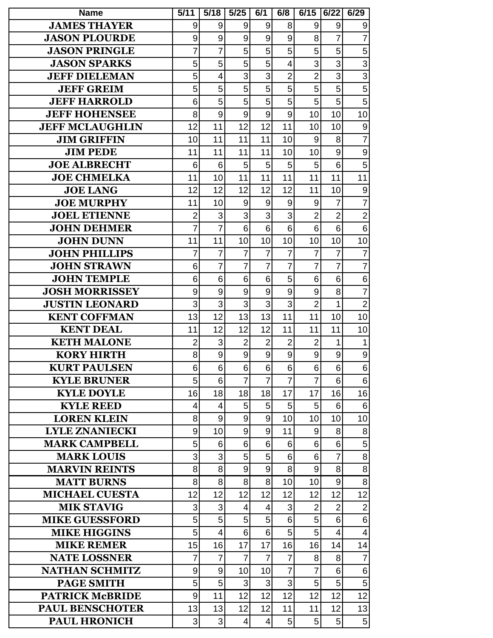| <b>Name</b>                                  | 5/11           | 5/18                         | $5/25$           | 6/1              | 6/8              | 6/15                | 6/22                | 6/29                |
|----------------------------------------------|----------------|------------------------------|------------------|------------------|------------------|---------------------|---------------------|---------------------|
| <b>JAMES THAYER</b>                          | 9              | 9                            | 9                | 9                | 8                | 9                   | 9                   | 9                   |
| <b>JASON PLOURDE</b>                         | 9              | 9                            | 9                | 9                | 9                | 8                   | 7                   | $\overline{7}$      |
| <b>JASON PRINGLE</b>                         | 7              | $\overline{7}$               | 5                | 5                | 5                | 5                   | 5                   | 5                   |
| <b>JASON SPARKS</b>                          | 5              | 5                            | 5                | 5                | 4                | 3                   | 3                   | 3                   |
| <b>JEFF DIELEMAN</b>                         | 5              | 4                            | 3                | 3                | $\overline{2}$   | $\overline{2}$      | 3                   | 3                   |
| <b>JEFF GREIM</b>                            | 5              | 5                            | 5                | 5                | 5                | 5                   | 5                   | 5                   |
| <b>JEFF HARROLD</b>                          | 6              | 5                            | 5                | 5                | 5                | 5                   | 5                   | 5                   |
| <b>JEFF HOHENSEE</b>                         | 8              | 9                            | 9                | 9                | 9                | 10                  | 10                  | 10                  |
| <b>JEFF MCLAUGHLIN</b>                       | 12             | 11                           | 12               | 12               | 11               | 10                  | 10                  | 9                   |
| <b>JIM GRIFFIN</b>                           | 10             | 11                           | 11               | 11               | 10               | 9                   | 8                   | $\overline{7}$      |
| <b>JIM PEDE</b>                              | 11             | 11                           | 11               | 11               | 10               | 10                  | 9                   | 9                   |
| <b>JOE ALBRECHT</b>                          | 6              | 6                            | 5                | 5                | 5                | 5                   | 6                   | 5                   |
| <b>JOE CHMELKA</b>                           | 11             | 10                           | 11               | 11               | 11               | 11                  | 11                  | 11                  |
| <b>JOE LANG</b>                              | 12             | 12                           | 12               | 12               | 12               | 11                  | 10                  | 9                   |
| <b>JOE MURPHY</b>                            | 11             | 10                           | 9                | 9                | 9                | 9                   | 7                   | $\overline{7}$      |
| <b>JOEL ETIENNE</b>                          | $\overline{2}$ | 3                            | 3                | 3                | 3                | $\overline{2}$      | $\overline{2}$      | $\overline{2}$      |
| <b>JOHN DEHMER</b>                           | $\overline{7}$ | $\overline{7}$               | 6                | 6                | $6\phantom{1}$   | 6                   | 6                   | 6                   |
| <b>JOHN DUNN</b>                             | 11             | 11                           | 10               | 10               | 10               | 10                  | 10                  | 10                  |
| <b>JOHN PHILLIPS</b>                         | 7              | $\overline{7}$               | $\overline{7}$   | $\overline{7}$   | $\overline{7}$   | $\overline{7}$      | 7                   | $\overline{7}$      |
| <b>JOHN STRAWN</b>                           | 6              | $\overline{7}$               | 7                | 7                | $\overline{7}$   | $\overline{7}$      | $\overline{7}$      | $\overline{7}$      |
| <b>JOHN TEMPLE</b>                           | 6              | 6                            | 6                | 6                | 5                | 6                   | 6                   | 6                   |
| <b>JOSH MORRISSEY</b>                        | 9              | 9                            | 9                | $\boldsymbol{9}$ | 9                | 9                   | 8                   | $\overline{7}$      |
| <b>JUSTIN LEONARD</b>                        | 3              | 3                            | 3                | 3                | 3                | $\overline{2}$      | 1                   | $\overline{2}$      |
| <b>KENT COFFMAN</b>                          | 13             | 12                           | 13               | 13               | 11               | 11                  | 10                  | 10                  |
| <b>KENT DEAL</b>                             | 11             | 12                           | 12               | 12               | 11               | 11                  | 11                  | 10                  |
| <b>KETH MALONE</b>                           | 2              | 3                            | $\overline{2}$   | $\overline{2}$   | $\overline{2}$   | $\overline{2}$      | 1                   | 1                   |
| <b>KORY HIRTH</b>                            | 8              | 9                            | 9                | 9                | $\boldsymbol{9}$ | 9                   | 9                   | 9                   |
| <b>KURT PAULSEN</b>                          | $6\vert$       | $6\vert$                     | $6 \overline{6}$ | $6\overline{6}$  | 6 <sup>1</sup>   | $6\phantom{a}$      | $6\phantom{a}$      | $6\phantom{a}$      |
| <b>KYLE BRUNER</b>                           | 5              | 6                            | $\overline{7}$   | $\overline{7}$   | $\overline{7}$   | $\overline{7}$      | 6                   | $6\phantom{1}6$     |
| <b>KYLE DOYLE</b>                            | 16             | 18                           | 18               | 18               | 17               | 17                  | 16                  | 16                  |
| <b>KYLE REED</b>                             | 4              | 4                            | 5                | 5                | 5                | 5                   | 6                   | $6\phantom{1}6$     |
| <b>LOREN KLEIN</b>                           | 8              | $\mathsf 9$                  | 9                | 9                | 10               | 10                  | 10                  | 10                  |
| <b>LYLE ZNANIECKI</b>                        | 9              | 10                           | 9                | 9                | 11               | 9                   | 8                   | 8                   |
| <b>MARK CAMPBELL</b>                         | 5              | 6                            | 6                | 6                | 6                | 6                   | 6                   | 5                   |
| <b>MARK LOUIS</b>                            | 3              | 3                            | 5                | 5                | 6                | 6 <sup>1</sup>      | $\overline{7}$      | 8                   |
| <b>MARVIN REINTS</b>                         | 8              | 8                            | 9                | 9                | 8                | 9                   | 8                   | 8                   |
| <b>MATT BURNS</b>                            | 8              | 8                            | 8                | 8                | 10               | 10                  | $9\,$               | 8                   |
| <b>MICHAEL CUESTA</b>                        | 12             | 12                           | 12               | 12               | 12               | 12                  | 12                  | 12                  |
| <b>MIK STAVIG</b>                            | 3              | 3                            | 4<br>5           | $\overline{4}$   | 3                | $\overline{2}$<br>5 | $\overline{2}$<br>6 | $\overline{2}$      |
| <b>MIKE GUESSFORD</b><br><b>MIKE HIGGINS</b> | 5<br>5         | 5<br>$\overline{\mathbf{4}}$ | 6                | 5<br>6           | 6<br>5           | 5                   | 4                   | 6<br>$\overline{4}$ |
| <b>MIKE REMER</b>                            | 15             | 16                           | 17               | 17               | 16               | 16                  | 14                  | 14                  |
| <b>NATE LOSSNER</b>                          | 7              | $\overline{7}$               | $\overline{7}$   | $\overline{7}$   | $\overline{7}$   | 8                   | 8                   | $\overline{7}$      |
| <b>NATHAN SCHMITZ</b>                        | 9              | $\mathsf 9$                  | 10               | 10               | $\overline{7}$   | $\overline{7}$      | 6                   | $\,6$               |
| <b>PAGE SMITH</b>                            | 5              | 5                            | 3                | 3                | 3                | 5                   | 5                   | 5                   |
| <b>PATRICK McBRIDE</b>                       | 9              | 11                           | 12               | 12               | 12               | 12                  | 12                  | 12                  |
| <b>PAUL BENSCHOTER</b>                       | 13             | 13                           | 12               | 12               | 11               | 11                  | 12                  | 13                  |
| <b>PAUL HRONICH</b>                          | 3              | 3                            | 4                | $\overline{4}$   | $\sqrt{5}$       | 5                   | $\mathbf 5$         | $\mathbf 5$         |
|                                              |                |                              |                  |                  |                  |                     |                     |                     |